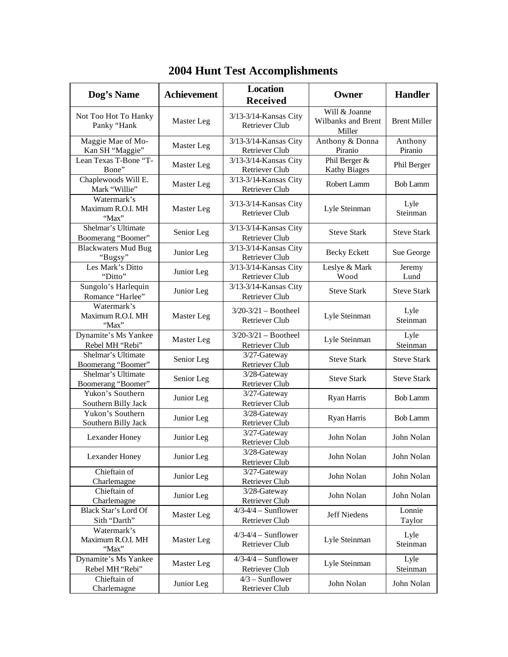| Dog's Name                                | <b>Achievement</b> | <b>Location</b><br><b>Received</b>                | Owner                                                | <b>Handler</b>      |
|-------------------------------------------|--------------------|---------------------------------------------------|------------------------------------------------------|---------------------|
| Not Too Hot To Hanky<br>Panky "Hank       | Master Leg         | $3/13-3/14$ -Kansas City<br>Retriever Club        | Will & Joanne<br><b>Wilbanks and Brent</b><br>Miller | <b>Brent Miller</b> |
| Maggie Mae of Mo-<br>Kan SH "Maggie"      | Master Leg         | 3/13-3/14-Kansas City<br><b>Retriever Club</b>    | Anthony & Donna<br>Piranio                           | Anthony<br>Piranio  |
| Lean Texas T-Bone "T-<br>Bone"            | Master Leg         | 3/13-3/14-Kansas City<br>Retriever Club           | Phil Berger &<br><b>Kathy Biages</b>                 | Phil Berger         |
| Chaplewoods Will E.<br>Mark "Willie"      | Master Leg         | 3/13-3/14-Kansas City<br><b>Retriever Club</b>    | Robert Lamm                                          | <b>Bob Lamm</b>     |
| Watermark's<br>Maximum R.O.I. MH<br>"Max" | Master Leg         | 3/13-3/14-Kansas City<br><b>Retriever Club</b>    | Lyle Steinman                                        | Lyle<br>Steinman    |
| Shelmar's Ultimate<br>Boomerang "Boomer"  | Senior Leg         | 3/13-3/14-Kansas City<br>Retriever Club           | <b>Steve Stark</b>                                   | <b>Steve Stark</b>  |
| <b>Blackwaters Mud Bug</b><br>"Bugsy"     | Junior Leg         | 3/13-3/14-Kansas City<br><b>Retriever Club</b>    | <b>Becky Eckett</b>                                  | Sue George          |
| Les Mark's Ditto<br>"Ditto"               | Junior Leg         | 3/13-3/14-Kansas City<br>Retriever Club           | Leslye & Mark<br>Wood                                | Jeremy<br>Lund      |
| Sungolo's Harlequin<br>Romance "Harlee"   | Junior Leg         | 3/13-3/14-Kansas City<br><b>Retriever Club</b>    | <b>Steve Stark</b>                                   | <b>Steve Stark</b>  |
| Watermark's<br>Maximum R.O.I. MH<br>"Max" | Master Leg         | $3/20 - 3/21 -$ Bootheel<br><b>Retriever Club</b> | Lyle Steinman                                        | Lyle<br>Steinman    |
| Dynamite's Ms Yankee<br>Rebel MH "Rebi"   | Master Leg         | $3/20 - 3/21 -$ Bootheel<br>Retriever Club        | Lyle Steinman                                        | Lyle<br>Steinman    |
| Shelmar's Ultimate<br>Boomerang "Boomer"  | Senior Leg         | 3/27-Gateway<br>Retriever Club                    | <b>Steve Stark</b>                                   | <b>Steve Stark</b>  |
| Shelmar's Ultimate<br>Boomerang "Boomer"  | Senior Leg         | 3/28-Gateway<br>Retriever Club                    | <b>Steve Stark</b>                                   | <b>Steve Stark</b>  |
| Yukon's Southern<br>Southern Billy Jack   | Junior Leg         | 3/27-Gateway<br>Retriever Club                    | Ryan Harris                                          | <b>Bob Lamm</b>     |
| Yukon's Southern<br>Southern Billy Jack   | Junior Leg         | 3/28-Gateway<br>Retriever Club                    | Ryan Harris                                          | <b>Bob Lamm</b>     |
| Lexander Honey                            | Junior Leg         | 3/27-Gateway<br>Retriever Club                    | John Nolan                                           | John Nolan          |
| Lexander Honey                            | Junior Leg         | 3/28-Gateway<br>Retriever Club                    | John Nolan                                           | John Nolan          |
| Chieftain of<br>Charlemagne               | Junior Leg         | 3/27-Gateway<br>Retriever Club                    | John Nolan                                           | John Nolan          |
| Chieftain of<br>Charlemagne               | Junior Leg         | 3/28-Gateway<br>Retriever Club                    | John Nolan                                           | John Nolan          |
| Black Star's Lord Of<br>Sith "Darth"      | Master Leg         | $4/3-4/4$ – Sunflower<br>Retriever Club           | Jeff Niedens                                         | Lonnie<br>Taylor    |
| Watermark's<br>Maximum R.O.I. MH<br>"Max" | Master Leg         | $4/3-4/4$ - Sunflower<br>Retriever Club           | Lyle Steinman                                        | Lyle<br>Steinman    |
| Dynamite's Ms Yankee<br>Rebel MH "Rebi"   | Master Leg         | $4/3-4/4$ - Sunflower<br>Retriever Club           | Lyle Steinman                                        | Lyle<br>Steinman    |
| Chieftain of<br>Charlemagne               | Junior Leg         | $4/3$ – Sunflower<br>Retriever Club               | John Nolan                                           | John Nolan          |

## **2004 Hunt Test Accomplishments**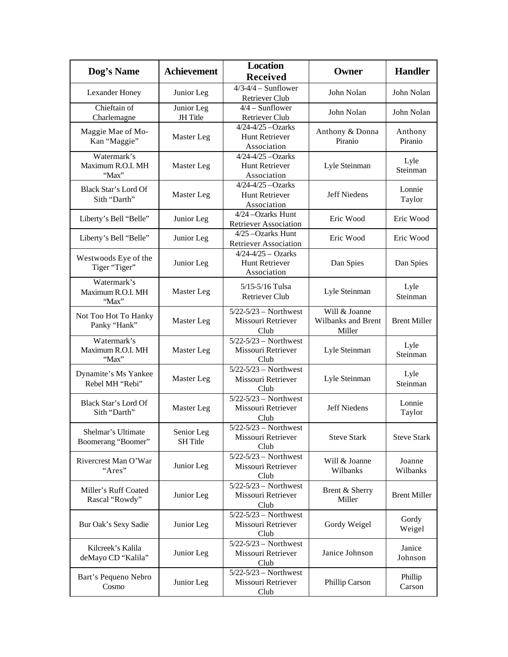| Dog's Name                                | <b>Achievement</b>            | <b>Location</b><br><b>Received</b>                                              | Owner                                         | <b>Handler</b>      |
|-------------------------------------------|-------------------------------|---------------------------------------------------------------------------------|-----------------------------------------------|---------------------|
| Lexander Honey                            | Junior Leg                    | $4/3-4/4$ - Sunflower<br><b>Retriever Club</b>                                  | John Nolan                                    | John Nolan          |
| Chieftain of<br>Charlemagne               | Junior Leg<br>JH Title        | $4/4$ – Sunflower<br><b>Retriever Club</b>                                      | John Nolan                                    | John Nolan          |
| Maggie Mae of Mo-<br>Kan "Maggie"         | Master Leg                    | $4/24 - 4/25 - Ozarks$<br>Hunt Retriever<br>Association                         | Anthony & Donna<br>Piranio                    | Anthony<br>Piranio  |
| Watermark's<br>Maximum R.O.I. MH<br>"Max" | Master Leg                    | $4/24 - 4/25 - Ozarks$<br>Hunt Retriever<br>Association                         | Lyle Steinman                                 | Lyle<br>Steinman    |
| Black Star's Lord Of<br>Sith "Darth"      | Master Leg                    | $4/24 - 4/25 - Ozarks$<br><b>Hunt Retriever</b><br>Association                  | Jeff Niedens                                  | Lonnie<br>Taylor    |
| Liberty's Bell "Belle"                    | Junior Leg                    | 4/24 - Ozarks Hunt<br><b>Retriever Association</b>                              | Eric Wood                                     | Eric Wood           |
| Liberty's Bell "Belle"                    | Junior Leg                    | 4/25 - Ozarks Hunt<br><b>Retriever Association</b>                              | Eric Wood                                     | Eric Wood           |
| Westwoods Eye of the<br>Tiger "Tiger"     | Junior Leg                    | $4/24 - 4/25 - Ozarks$<br><b>Hunt Retriever</b><br>Association                  | Dan Spies                                     | Dan Spies           |
| Watermark's<br>Maximum R.O.I. MH<br>"Max" | Master Leg                    | 5/15-5/16 Tulsa<br><b>Retriever Club</b>                                        | Lyle Steinman                                 | Lyle<br>Steinman    |
| Not Too Hot To Hanky<br>Panky "Hank"      | Master Leg                    | $5/22 - 5/23$ - Northwest<br>Missouri Retriever<br>Club                         | Will & Joanne<br>Wilbanks and Brent<br>Miller | <b>Brent Miller</b> |
| Watermark's<br>Maximum R.O.I. MH<br>"Max" | Master Leg                    | $\overline{5/22}$ - $\overline{5/23}$ – Northwest<br>Missouri Retriever<br>Club | Lyle Steinman                                 | Lyle<br>Steinman    |
| Dynamite's Ms Yankee<br>Rebel MH "Rebi"   | Master Leg                    | $5/22 - 5/23$ - Northwest<br>Missouri Retriever<br>Club                         | Lyle Steinman                                 | Lyle<br>Steinman    |
| Black Star's Lord Of<br>Sith "Darth"      | Master Leg                    | $5/22 - 5/23$ - Northwest<br>Missouri Retriever<br>Club                         | <b>Jeff Niedens</b>                           | Lonnie<br>Taylor    |
| Shelmar's Ultimate<br>Boomerang "Boomer"  | Senior Leg<br><b>SH</b> Title | $5/22 - 5/23$ - Northwest<br>Missouri Retriever<br>Club                         | <b>Steve Stark</b>                            | <b>Steve Stark</b>  |
| Rivercrest Man O'War<br>"Ares"            | Junior Leg                    | $5/22 - 5/23$ – Northwest<br>Missouri Retriever<br>Club                         | Will & Joanne<br>Wilbanks                     | Joanne<br>Wilbanks  |
| Miller's Ruff Coated<br>Rascal "Rowdy"    | Junior Leg                    | $\sqrt{5/22-5/23}$ Northwest<br>Missouri Retriever<br>Club                      | Brent & Sherry<br>Miller                      | <b>Brent Miller</b> |
| Bur Oak's Sexy Sadie                      | Junior Leg                    | $5/22 - 5/23$ – Northwest<br>Missouri Retriever<br>Club                         | Gordy Weigel                                  | Gordy<br>Weigel     |
| Kilcreek's Kalila<br>deMayo CD "Kalila"   | Junior Leg                    | $5/22 - 5/23$ - Northwest<br>Missouri Retriever<br>Club                         | Janice Johnson                                | Janice<br>Johnson   |
| Bart's Pequeno Nebro<br>Cosmo             | Junior Leg                    | $5/22 - 5/23$ - Northwest<br>Missouri Retriever<br>Club                         | Phillip Carson                                | Phillip<br>Carson   |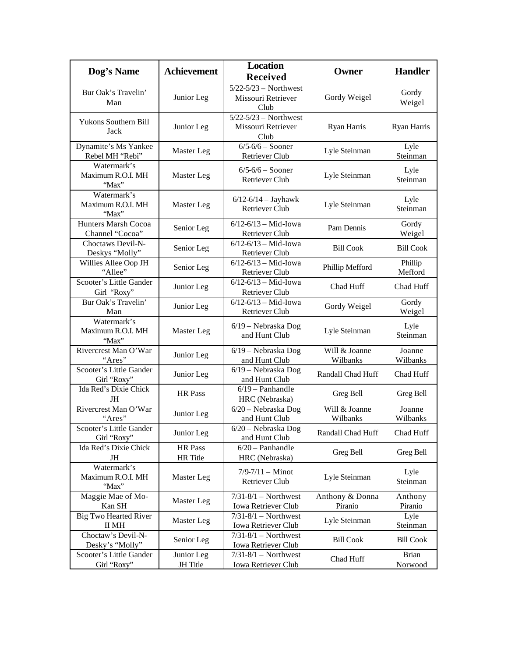| Dog's Name                                | <b>Achievement</b>         | <b>Location</b><br><b>Received</b>                      | Owner                      | <b>Handler</b>          |
|-------------------------------------------|----------------------------|---------------------------------------------------------|----------------------------|-------------------------|
| Bur Oak's Travelin'<br>Man                | Junior Leg                 | $5/22 - 5/23$ - Northwest<br>Missouri Retriever<br>Club | Gordy Weigel               | Gordy<br>Weigel         |
| Yukons Southern Bill<br>Jack              | Junior Leg                 | $5/22 - 5/23$ - Northwest<br>Missouri Retriever<br>Club | Ryan Harris                | Ryan Harris             |
| Dynamite's Ms Yankee<br>Rebel MH "Rebi"   | Master Leg                 | $6/5 - 6/6 -$ Sooner<br>Retriever Club                  | Lyle Steinman              | Lyle<br>Steinman        |
| Watermark's<br>Maximum R.O.I. MH<br>"Max" | Master Leg                 | $6/5 - 6/6 -$ Sooner<br><b>Retriever Club</b>           | Lyle Steinman              | Lyle<br>Steinman        |
| Watermark's<br>Maximum R.O.I. MH<br>"Max" | Master Leg                 | $6/12 - 6/14 - Jayhawk$<br><b>Retriever Club</b>        | Lyle Steinman              | Lyle<br>Steinman        |
| Hunters Marsh Cocoa<br>Channel "Cocoa"    | Senior Leg                 | $6/12 - 6/13 - Mid$ -Iowa<br>Retriever Club             | Pam Dennis                 | Gordy<br>Weigel         |
| Choctaws Devil-N-<br>Deskys "Molly"       | Senior Leg                 | $6/12 - 6/13 - Mid$ -Iowa<br>Retriever Club             | <b>Bill Cook</b>           | <b>Bill Cook</b>        |
| Willies Allee Oop JH<br>"Allee"           | Senior Leg                 | $6/12 - 6/13 - Mid$ -Iowa<br>Retriever Club             | Phillip Mefford            | Phillip<br>Mefford      |
| Scooter's Little Gander<br>Girl "Roxy"    | Junior Leg                 | $6/12 - 6/13 - Mid$ -Iowa<br>Retriever Club             | Chad Huff                  | Chad Huff               |
| Bur Oak's Travelin'<br>Man                | Junior Leg                 | $6/12 - 6/13 - Mid$ -Iowa<br><b>Retriever Club</b>      | Gordy Weigel               | Gordy<br>Weigel         |
| Watermark's<br>Maximum R.O.I. MH<br>"Max" | Master Leg                 | 6/19 - Nebraska Dog<br>and Hunt Club                    | Lyle Steinman              | Lyle<br>Steinman        |
| Rivercrest Man O'War<br>"Ares"            | Junior Leg                 | $6/19$ – Nebraska Dog<br>and Hunt Club                  | Will & Joanne<br>Wilbanks  | Joanne<br>Wilbanks      |
| Scooter's Little Gander<br>Girl "Roxy"    | Junior Leg                 | $\overline{6}/19$ – Nebraska Dog<br>and Hunt Club       | Randall Chad Huff          | Chad Huff               |
| Ida Red's Dixie Chick<br>JH               | <b>HR</b> Pass             | $6/19$ - Panhandle<br>HRC (Nebraska)                    | Greg Bell                  | Greg Bell               |
| Rivercrest Man O'War<br>"Ares"            | Junior Leg                 | 6/20 - Nebraska Dog<br>and Hunt Club                    | Will & Joanne<br>Wilbanks  | Joanne<br>Wilbanks      |
| Scooter's Little Gander<br>Girl "Roxy"    | Junior Leg                 | $6/20$ – Nebraska Dog<br>and Hunt Club                  | Randall Chad Huff          | Chad Huff               |
| Ida Red's Dixie Chick<br>JH               | HR Pass<br><b>HR</b> Title | $6/20$ - Panhandle<br>HRC (Nebraska)                    | Greg Bell                  | Greg Bell               |
| Watermark's<br>Maximum R.O.I. MH<br>"Max" | Master Leg                 | $7/9 - 7/11 -$ Minot<br>Retriever Club                  | Lyle Steinman              | Lyle<br>Steinman        |
| Maggie Mae of Mo-<br>Kan SH               | Master Leg                 | $\overline{7/31-8/1}$ Northwest<br>Iowa Retriever Club  | Anthony & Donna<br>Piranio | Anthony<br>Piranio      |
| <b>Big Two Hearted River</b><br>II MH     | Master Leg                 | $7/31-8/1$ - Northwest<br>Iowa Retriever Club           | Lyle Steinman              | Lyle<br>Steinman        |
| Choctaw's Devil-N-<br>Desky's "Molly"     | Senior Leg                 | $7/31-8/1$ - Northwest<br>Iowa Retriever Club           | <b>Bill Cook</b>           | <b>Bill Cook</b>        |
| Scooter's Little Gander<br>Girl "Roxy"    | Junior Leg<br>JH Title     | $7/31-8/1$ - Northwest<br>Iowa Retriever Club           | Chad Huff                  | <b>Brian</b><br>Norwood |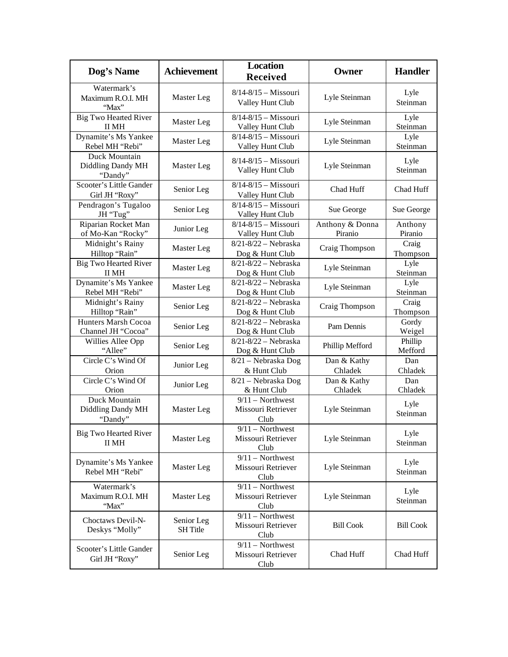| Dog's Name                                    | <b>Achievement</b>            | <b>Location</b><br><b>Received</b>               | Owner                      | <b>Handler</b>     |
|-----------------------------------------------|-------------------------------|--------------------------------------------------|----------------------------|--------------------|
| Watermark's<br>Maximum R.O.I. MH<br>"Max"     | Master Leg                    | $8/14 - 8/15 - Missouri$<br>Valley Hunt Club     | Lyle Steinman              | Lyle<br>Steinman   |
| <b>Big Two Hearted River</b><br><b>II MH</b>  | Master Leg                    | 8/14-8/15 - Missouri<br>Valley Hunt Club         | Lyle Steinman              | Lyle<br>Steinman   |
| Dynamite's Ms Yankee<br>Rebel MH "Rebi"       | Master Leg                    | 8/14-8/15 - Missouri<br>Valley Hunt Club         | Lyle Steinman              | Lyle<br>Steinman   |
| Duck Mountain<br>Diddling Dandy MH<br>"Dandy" | Master Leg                    | $8/14 - 8/15 - Missouri$<br>Valley Hunt Club     | Lyle Steinman              | Lyle<br>Steinman   |
| Scooter's Little Gander<br>Girl JH "Roxy"     | Senior Leg                    | 8/14-8/15 - Missouri<br>Valley Hunt Club         | Chad Huff                  | Chad Huff          |
| Pendragon's Tugaloo<br>JH "Tug"               | Senior Leg                    | 8/14-8/15 - Missouri<br>Valley Hunt Club         | Sue George                 | Sue George         |
| Riparian Rocket Man<br>of Mo-Kan "Rocky"      | Junior Leg                    | $8/14 - 8/15 - Missouri$<br>Valley Hunt Club     | Anthony & Donna<br>Piranio | Anthony<br>Piranio |
| Midnight's Rainy<br>Hilltop "Rain"            | Master Leg                    | $8/21 - 8/22 -$ Nebraska<br>Dog & Hunt Club      | Craig Thompson             | Craig<br>Thompson  |
| <b>Big Two Hearted River</b><br>II MH         | Master Leg                    | 8/21-8/22 - Nebraska<br>Dog & Hunt Club          | Lyle Steinman              | Lyle<br>Steinman   |
| Dynamite's Ms Yankee<br>Rebel MH "Rebi"       | Master Leg                    | $8/21 - 8/22 -$ Nebraska<br>Dog & Hunt Club      | Lyle Steinman              | Lyle<br>Steinman   |
| Midnight's Rainy<br>Hilltop "Rain"            | Senior Leg                    | $8/21 - 8/22 -$ Nebraska<br>Dog & Hunt Club      | Craig Thompson             | Craig<br>Thompson  |
| Hunters Marsh Cocoa<br>Channel JH "Cocoa"     | Senior Leg                    | 8/21-8/22 - Nebraska<br>Dog & Hunt Club          | Pam Dennis                 | Gordy<br>Weigel    |
| Willies Allee Opp<br>"Allee"                  | Senior Leg                    | $8/21 - 8/22$ - Nebraska<br>Dog & Hunt Club      | Phillip Mefford            | Phillip<br>Mefford |
| Circle C's Wind Of<br>Orion                   | Junior Leg                    | 8/21 - Nebraska Dog<br>& Hunt Club               | Dan & Kathy<br>Chladek     | Dan<br>Chladek     |
| Circle C's Wind Of<br>Orion                   | Junior Leg                    | 8/21 - Nebraska Dog<br>& Hunt Club               | Dan & Kathy<br>Chladek     | Dan<br>Chladek     |
| Duck Mountain<br>Diddling Dandy MH<br>"Dandy" | Master Leg                    | $9/11$ - Northwest<br>Missouri Retriever<br>Club | Lyle Steinman              | Lyle<br>Steinman   |
| <b>Big Two Hearted River</b><br>II MH         | Master Leg                    | $9/11$ – Northwest<br>Missouri Retriever<br>Club | Lyle Steinman              | Lyle<br>Steinman   |
| Dynamite's Ms Yankee<br>Rebel MH "Rebi"       | Master Leg                    | $9/11$ - Northwest<br>Missouri Retriever<br>Club | Lyle Steinman              | Lyle<br>Steinman   |
| Watermark's<br>Maximum R.O.I. MH<br>"Max"     | Master Leg                    | $9/11$ – Northwest<br>Missouri Retriever<br>Club | Lyle Steinman              | Lyle<br>Steinman   |
| Choctaws Devil-N-<br>Deskys "Molly"           | Senior Leg<br><b>SH</b> Title | $9/11$ – Northwest<br>Missouri Retriever<br>Club | <b>Bill Cook</b>           | <b>Bill Cook</b>   |
| Scooter's Little Gander<br>Girl JH "Roxy"     | Senior Leg                    | $9/11$ - Northwest<br>Missouri Retriever<br>Club | Chad Huff                  | Chad Huff          |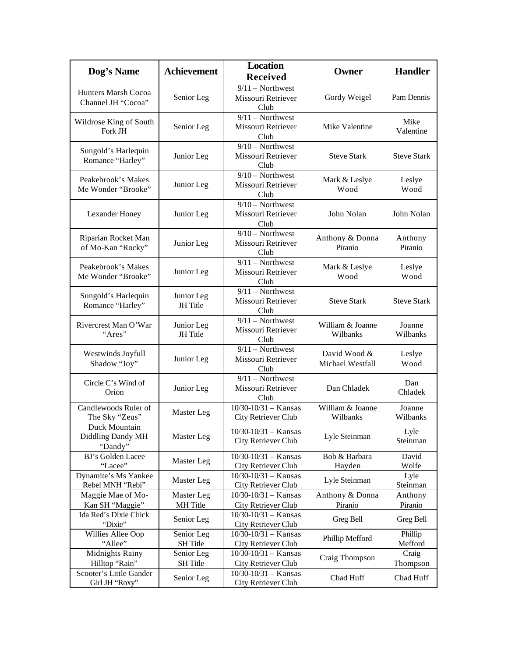| Dog's Name                                          | <b>Achievement</b>            | <b>Location</b><br><b>Received</b>                                     | Owner                            | <b>Handler</b>       |
|-----------------------------------------------------|-------------------------------|------------------------------------------------------------------------|----------------------------------|----------------------|
| Hunters Marsh Cocoa<br>Channel JH "Cocoa"           | Senior Leg                    | $9/11$ - Northwest<br>Missouri Retriever<br>Club                       | Gordy Weigel                     | Pam Dennis           |
| Wildrose King of South<br>Fork JH                   | Senior Leg                    | $9/11$ – Northwest<br>Missouri Retriever<br>Club                       | Mike Valentine                   | Mike<br>Valentine    |
| Sungold's Harlequin<br>Romance "Harley"             | Junior Leg                    | $9/10$ – Northwest<br>Missouri Retriever<br>Club                       | <b>Steve Stark</b>               | <b>Steve Stark</b>   |
| Peakebrook's Makes<br>Me Wonder "Brooke"            | Junior Leg                    | $9/10$ – Northwest<br>Missouri Retriever<br>Club                       | Mark & Leslye<br>Wood            | Leslye<br>Wood       |
| Lexander Honey                                      | Junior Leg                    | $9/10$ – Northwest<br>Missouri Retriever<br>Club                       | John Nolan                       | John Nolan           |
| Riparian Rocket Man<br>of Mo-Kan "Rocky"            | Junior Leg                    | $9/10$ – Northwest<br>Missouri Retriever<br>Club                       | Anthony & Donna<br>Piranio       | Anthony<br>Piranio   |
| Peakebrook's Makes<br>Me Wonder "Brooke"            | Junior Leg                    | $9/11$ - Northwest<br>Missouri Retriever<br>Club                       | Mark & Leslye<br>Wood            | Leslye<br>Wood       |
| Sungold's Harlequin<br>Romance "Harley"             | Junior Leg<br>JH Title        | $9/11$ – Northwest<br>Missouri Retriever<br>Club                       | <b>Steve Stark</b>               | <b>Steve Stark</b>   |
| Rivercrest Man O'War<br>"Ares"                      | Junior Leg<br><b>JH</b> Title | $9/11$ – Northwest<br>Missouri Retriever<br>Club                       | William & Joanne<br>Wilbanks     | Joanne<br>Wilbanks   |
| Westwinds Joyfull<br>Shadow "Joy"                   | Junior Leg                    | $9/11$ – Northwest<br>Missouri Retriever<br>Club                       | David Wood &<br>Michael Westfall | Leslye<br>Wood       |
| Circle C's Wind of<br>Orion                         | Junior Leg                    | $9/11$ - Northwest<br>Missouri Retriever<br>Club                       | Dan Chladek                      | Dan<br>Chladek       |
| Candlewoods Ruler of<br>The Sky "Zeus"              | Master Leg                    | $10/30 - 10/31 -$ Kansas<br>City Retriever Club                        | William & Joanne<br>Wilbanks     | Joanne<br>Wilbanks   |
| Duck Mountain<br>Diddling Dandy MH<br>"Dandy"       | Master Leg                    | $10/30 - 10/31 -$ Kansas<br>City Retriever Club                        | Lyle Steinman                    | Lyle<br>Steinman     |
| BJ's Golden Lacee<br>"Lacee"                        | Master Leg                    | $10/30 - 10/31 -$ Kansas<br>City Retriever Club                        | Bob & Barbara<br>Hayden          | David<br>Wolfe       |
| Dynamite's Ms Yankee<br>Rebel MNH "Rebi"            | Master Leg                    | $10/30 - 10/31 -$ Kansas<br>City Retriever Club                        | Lyle Steinman                    | Lyle<br>Steinman     |
| Maggie Mae of Mo-                                   | Master Leg                    | $10/30 - 10/31 -$ Kansas                                               | Anthony & Donna                  | Anthony              |
| Kan SH "Maggie"<br>Ida Red's Dixie Chick<br>"Dixie" | MH Title<br>Senior Leg        | City Retriever Club<br>$10/30 - 10/31 -$ Kansas<br>City Retriever Club | Piranio<br>Greg Bell             | Piranio<br>Greg Bell |
| Willies Allee Oop<br>"Allee"                        | Senior Leg<br>SH Title        | $10/30 - 10/31 -$ Kansas<br>City Retriever Club                        | Phillip Mefford                  | Phillip<br>Mefford   |
| Midnights Rainy<br>Hilltop "Rain"                   | Senior Leg<br>SH Title        | $10/30 - 10/31 -$ Kansas<br>City Retriever Club                        | Craig Thompson                   | Craig<br>Thompson    |
| Scooter's Little Gander<br>Girl JH "Roxy"           | Senior Leg                    | $10/30 - 10/31 -$ Kansas<br>City Retriever Club                        | Chad Huff                        | Chad Huff            |